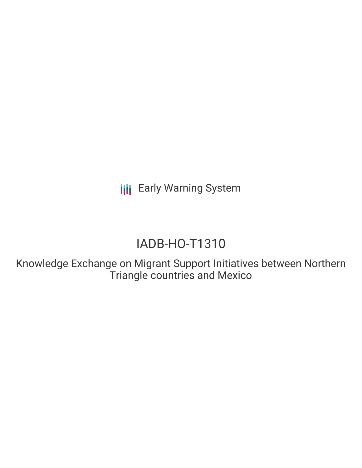**III** Early Warning System

# IADB-HO-T1310

Knowledge Exchange on Migrant Support Initiatives between Northern Triangle countries and Mexico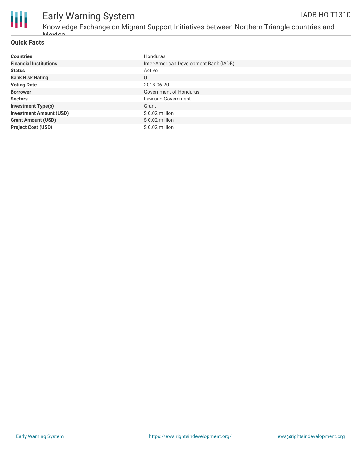

# Early Warning System

### **Quick Facts**

| <b>Countries</b>               | Honduras                               |
|--------------------------------|----------------------------------------|
| <b>Financial Institutions</b>  | Inter-American Development Bank (IADB) |
| <b>Status</b>                  | Active                                 |
| <b>Bank Risk Rating</b>        | U                                      |
| <b>Voting Date</b>             | 2018-06-20                             |
| <b>Borrower</b>                | Government of Honduras                 |
| <b>Sectors</b>                 | Law and Government                     |
| <b>Investment Type(s)</b>      | Grant                                  |
| <b>Investment Amount (USD)</b> | $$0.02$ million                        |
| <b>Grant Amount (USD)</b>      | $$0.02$ million                        |
| <b>Project Cost (USD)</b>      | $$0.02$ million                        |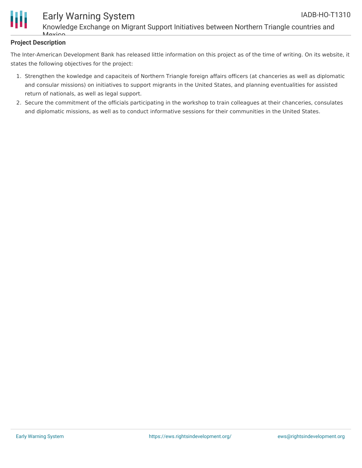

# Early Warning System

Knowledge Exchange on Migrant Support Initiatives between Northern Triangle countries and  $M\alpha$ 

# **Project Description**

The Inter-American Development Bank has released little information on this project as of the time of writing. On its website, it states the following objectives for the project:

- 1. Strengthen the kowledge and capaciteis of Northern Triangle foreign affairs officers (at chanceries as well as diplomatic and consular missions) on initiatives to support migrants in the United States, and planning eventualities for assisted return of nationals, as well as legal support.
- 2. Secure the commitment of the officials participating in the workshop to train colleagues at their chanceries, consulates and diplomatic missions, as well as to conduct informative sessions for their communities in the United States.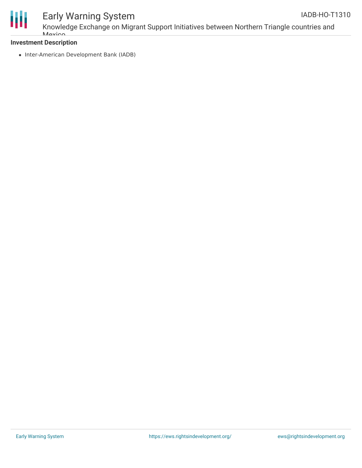

Knowledge Exchange on Migrant Support Initiatives between Northern Triangle countries and **Mavion** 

## **Investment Description**

• Inter-American Development Bank (IADB)